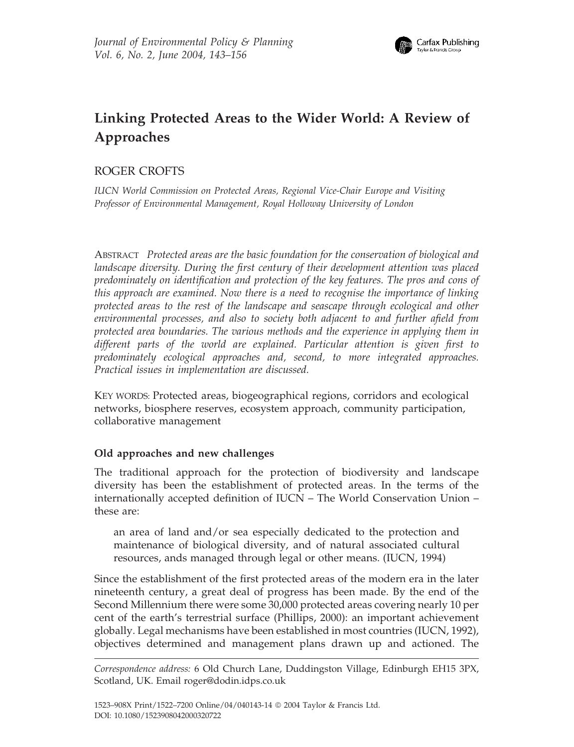

# Linking Protected Areas to the Wider World: A Review of Approaches

ROGER CROFTS

IUCN World Commission on Protected Areas, Regional Vice-Chair Europe and Visiting Professor of Environmental Management, Royal Holloway University of London

ABSTRACT Protected areas are the basic foundation for the conservation of biological and landscape diversity. During the first century of their development attention was placed predominately on identification and protection of the key features. The pros and cons of this approach are examined. Now there is a need to recognise the importance of linking protected areas to the rest of the landscape and seascape through ecological and other environmental processes, and also to society both adjacent to and further afield from protected area boundaries. The various methods and the experience in applying them in different parts of the world are explained. Particular attention is given first to predominately ecological approaches and, second, to more integrated approaches. Practical issues in implementation are discussed.

KEY WORDS: Protected areas, biogeographical regions, corridors and ecological networks, biosphere reserves, ecosystem approach, community participation, collaborative management

# Old approaches and new challenges

The traditional approach for the protection of biodiversity and landscape diversity has been the establishment of protected areas. In the terms of the internationally accepted definition of IUCN  $-$  The World Conservation Union  $$ these are:

an area of land and/or sea especially dedicated to the protection and maintenance of biological diversity, and of natural associated cultural resources, ands managed through legal or other means. (IUCN, 1994)

Since the establishment of the first protected areas of the modern era in the later nineteenth century, a great deal of progress has been made. By the end of the Second Millennium there were some 30,000 protected areas covering nearly 10 per cent of the earth's terrestrial surface (Phillips, 2000): an important achievement globally. Legal mechanisms have been established in most countries (IUCN, 1992), objectives determined and management plans drawn up and actioned. The

Correspondence address: 6 Old Church Lane, Duddingston Village, Edinburgh EH15 3PX, Scotland, UK. Email roger@dodin.idps.co.uk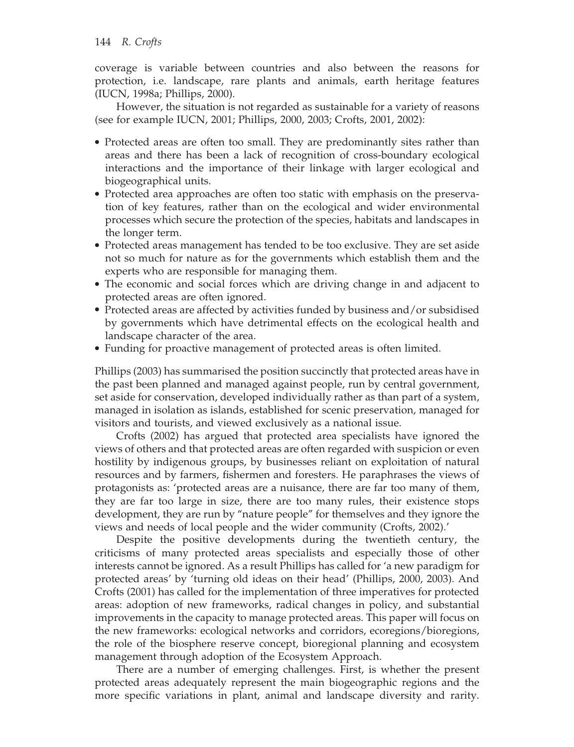coverage is variable between countries and also between the reasons for protection, i.e. landscape, rare plants and animals, earth heritage features (IUCN, 1998a; Phillips, 2000).

However, the situation is not regarded as sustainable for a variety of reasons (see for example IUCN, 2001; Phillips, 2000, 2003; Crofts, 2001, 2002):

- Protected areas are often too small. They are predominantly sites rather than areas and there has been a lack of recognition of cross-boundary ecological interactions and the importance of their linkage with larger ecological and biogeographical units.
- Protected area approaches are often too static with emphasis on the preservation of key features, rather than on the ecological and wider environmental processes which secure the protection of the species, habitats and landscapes in the longer term.
- Protected areas management has tended to be too exclusive. They are set aside not so much for nature as for the governments which establish them and the experts who are responsible for managing them.
- The economic and social forces which are driving change in and adjacent to protected areas are often ignored.
- Protected areas are affected by activities funded by business and/or subsidised by governments which have detrimental effects on the ecological health and landscape character of the area.
- Funding for proactive management of protected areas is often limited.

Phillips (2003) has summarised the position succinctly that protected areas have in the past been planned and managed against people, run by central government, set aside for conservation, developed individually rather as than part of a system, managed in isolation as islands, established for scenic preservation, managed for visitors and tourists, and viewed exclusively as a national issue.

Crofts (2002) has argued that protected area specialists have ignored the views of others and that protected areas are often regarded with suspicion or even hostility by indigenous groups, by businesses reliant on exploitation of natural resources and by farmers, fishermen and foresters. He paraphrases the views of protagonists as: 'protected areas are a nuisance, there are far too many of them, they are far too large in size, there are too many rules, their existence stops development, they are run by "nature people" for themselves and they ignore the views and needs of local people and the wider community (Crofts, 2002).'

Despite the positive developments during the twentieth century, the criticisms of many protected areas specialists and especially those of other interests cannot be ignored. As a result Phillips has called for 'a new paradigm for protected areas' by `turning old ideas on their head' (Phillips, 2000, 2003). And Crofts (2001) has called for the implementation of three imperatives for protected areas: adoption of new frameworks, radical changes in policy, and substantial improvements in the capacity to manage protected areas. This paper will focus on the new frameworks: ecological networks and corridors, ecoregions/bioregions, the role of the biosphere reserve concept, bioregional planning and ecosystem management through adoption of the Ecosystem Approach.

There are a number of emerging challenges. First, is whether the present protected areas adequately represent the main biogeographic regions and the more specific variations in plant, animal and landscape diversity and rarity.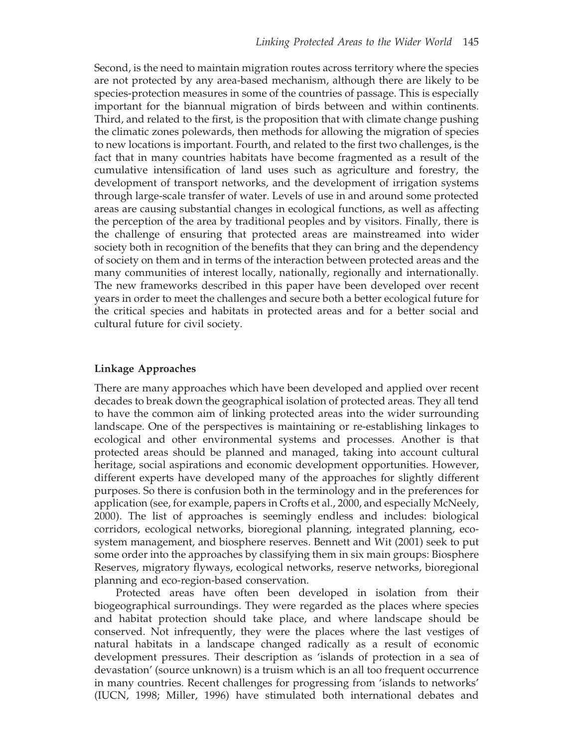Second, is the need to maintain migration routes across territory where the species are not protected by any area-based mechanism, although there are likely to be species-protection measures in some of the countries of passage. This is especially important for the biannual migration of birds between and within continents. Third, and related to the first, is the proposition that with climate change pushing the climatic zones polewards, then methods for allowing the migration of species to new locations is important. Fourth, and related to the first two challenges, is the fact that in many countries habitats have become fragmented as a result of the cumulative intensification of land uses such as agriculture and forestry, the development of transport networks, and the development of irrigation systems through large-scale transfer of water. Levels of use in and around some protected areas are causing substantial changes in ecological functions, as well as affecting the perception of the area by traditional peoples and by visitors. Finally, there is the challenge of ensuring that protected areas are mainstreamed into wider society both in recognition of the benefits that they can bring and the dependency of society on them and in terms of the interaction between protected areas and the many communities of interest locally, nationally, regionally and internationally. The new frameworks described in this paper have been developed over recent years in order to meet the challenges and secure both a better ecological future for the critical species and habitats in protected areas and for a better social and cultural future for civil society.

### Linkage Approaches

There are many approaches which have been developed and applied over recent decades to break down the geographical isolation of protected areas. They all tend to have the common aim of linking protected areas into the wider surrounding landscape. One of the perspectives is maintaining or re-establishing linkages to ecological and other environmental systems and processes. Another is that protected areas should be planned and managed, taking into account cultural heritage, social aspirations and economic development opportunities. However, different experts have developed many of the approaches for slightly different purposes. So there is confusion both in the terminology and in the preferences for application (see, for example, papers in Crofts et al., 2000, and especially McNeely, 2000). The list of approaches is seemingly endless and includes: biological corridors, ecological networks, bioregional planning, integrated planning, ecosystem management, and biosphere reserves. Bennett and Wit (2001) seek to put some order into the approaches by classifying them in six main groups: Biosphere Reserves, migratory flyways, ecological networks, reserve networks, bioregional planning and eco-region-based conservation.

Protected areas have often been developed in isolation from their biogeographical surroundings. They were regarded as the places where species and habitat protection should take place, and where landscape should be conserved. Not infrequently, they were the places where the last vestiges of natural habitats in a landscape changed radically as a result of economic development pressures. Their description as 'islands of protection in a sea of devastation' (source unknown) is a truism which is an all too frequent occurrence in many countries. Recent challenges for progressing from 'islands to networks' (IUCN, 1998; Miller, 1996) have stimulated both international debates and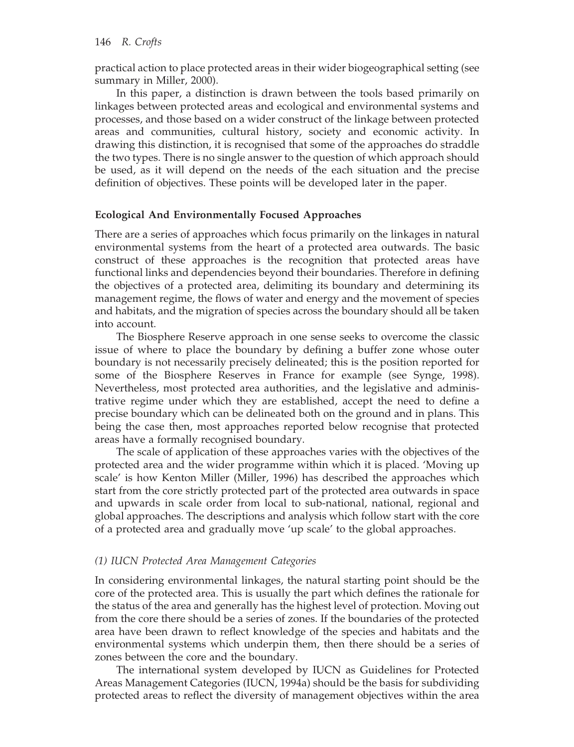practical action to place protected areas in their wider biogeographical setting (see summary in Miller, 2000).

In this paper, a distinction is drawn between the tools based primarily on linkages between protected areas and ecological and environmental systems and processes, and those based on a wider construct of the linkage between protected areas and communities, cultural history, society and economic activity. In drawing this distinction, it is recognised that some of the approaches do straddle the two types. There is no single answer to the question of which approach should be used, as it will depend on the needs of the each situation and the precise definition of objectives. These points will be developed later in the paper.

### Ecological And Environmentally Focused Approaches

There are a series of approaches which focus primarily on the linkages in natural environmental systems from the heart of a protected area outwards. The basic construct of these approaches is the recognition that protected areas have functional links and dependencies beyond their boundaries. Therefore in defining the objectives of a protected area, delimiting its boundary and determining its management regime, the flows of water and energy and the movement of species and habitats, and the migration of species across the boundary should all be taken into account.

The Biosphere Reserve approach in one sense seeks to overcome the classic issue of where to place the boundary by defining a buffer zone whose outer boundary is not necessarily precisely delineated; this is the position reported for some of the Biosphere Reserves in France for example (see Synge, 1998). Nevertheless, most protected area authorities, and the legislative and administrative regime under which they are established, accept the need to define a precise boundary which can be delineated both on the ground and in plans. This being the case then, most approaches reported below recognise that protected areas have a formally recognised boundary.

The scale of application of these approaches varies with the objectives of the protected area and the wider programme within which it is placed. `Moving up scale' is how Kenton Miller (Miller, 1996) has described the approaches which start from the core strictly protected part of the protected area outwards in space and upwards in scale order from local to sub-national, national, regional and global approaches. The descriptions and analysis which follow start with the core of a protected area and gradually move `up scale' to the global approaches.

# (1) IUCN Protected Area Management Categories

In considering environmental linkages, the natural starting point should be the core of the protected area. This is usually the part which defines the rationale for the status of the area and generally has the highest level of protection. Moving out from the core there should be a series of zones. If the boundaries of the protected area have been drawn to reflect knowledge of the species and habitats and the environmental systems which underpin them, then there should be a series of zones between the core and the boundary.

The international system developed by IUCN as Guidelines for Protected Areas Management Categories (IUCN, 1994a) should be the basis for subdividing protected areas to reflect the diversity of management objectives within the area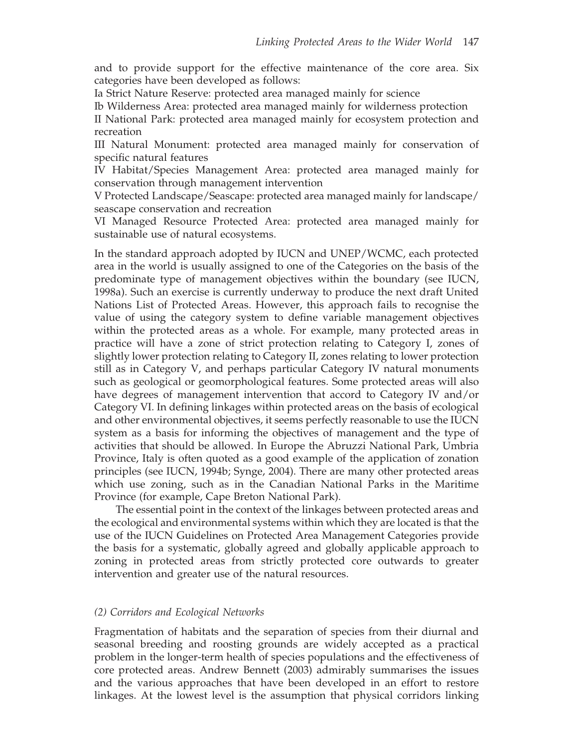and to provide support for the effective maintenance of the core area. Six categories have been developed as follows:

Ia Strict Nature Reserve: protected area managed mainly for science

Ib Wilderness Area: protected area managed mainly for wilderness protection

II National Park: protected area managed mainly for ecosystem protection and recreation

III Natural Monument: protected area managed mainly for conservation of specific natural features

IV Habitat/Species Management Area: protected area managed mainly for conservation through management intervention

V Protected Landscape/Seascape: protected area managed mainly for landscape/ seascape conservation and recreation

VI Managed Resource Protected Area: protected area managed mainly for sustainable use of natural ecosystems.

In the standard approach adopted by IUCN and UNEP/WCMC, each protected area in the world is usually assigned to one of the Categories on the basis of the predominate type of management objectives within the boundary (see IUCN, 1998a). Such an exercise is currently underway to produce the next draft United Nations List of Protected Areas. However, this approach fails to recognise the value of using the category system to define variable management objectives within the protected areas as a whole. For example, many protected areas in practice will have a zone of strict protection relating to Category I, zones of slightly lower protection relating to Category II, zones relating to lower protection still as in Category V, and perhaps particular Category IV natural monuments such as geological or geomorphological features. Some protected areas will also have degrees of management intervention that accord to Category IV and/or Category VI. In defining linkages within protected areas on the basis of ecological and other environmental objectives, it seems perfectly reasonable to use the IUCN system as a basis for informing the objectives of management and the type of activities that should be allowed. In Europe the Abruzzi National Park, Umbria Province, Italy is often quoted as a good example of the application of zonation principles (see IUCN, 1994b; Synge, 2004). There are many other protected areas which use zoning, such as in the Canadian National Parks in the Maritime Province (for example, Cape Breton National Park).

The essential point in the context of the linkages between protected areas and the ecological and environmental systems within which they are located is that the use of the IUCN Guidelines on Protected Area Management Categories provide the basis for a systematic, globally agreed and globally applicable approach to zoning in protected areas from strictly protected core outwards to greater intervention and greater use of the natural resources.

### (2) Corridors and Ecological Networks

Fragmentation of habitats and the separation of species from their diurnal and seasonal breeding and roosting grounds are widely accepted as a practical problem in the longer-term health of species populations and the effectiveness of core protected areas. Andrew Bennett (2003) admirably summarises the issues and the various approaches that have been developed in an effort to restore linkages. At the lowest level is the assumption that physical corridors linking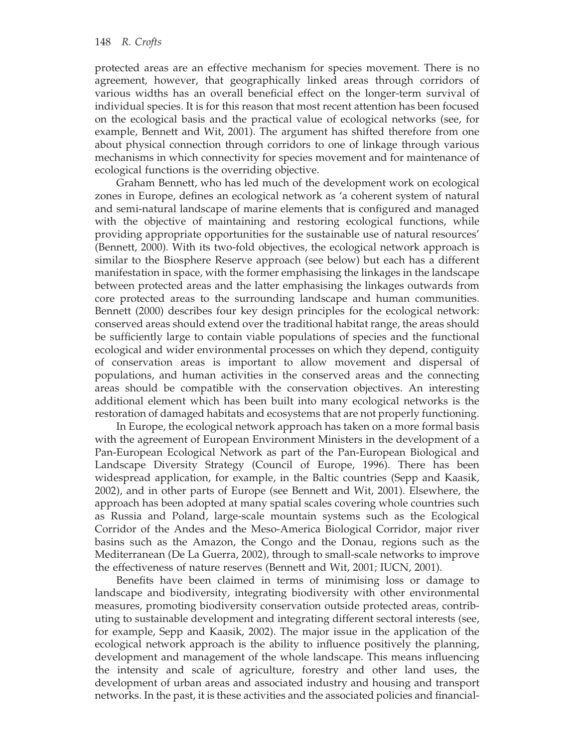protected areas are an effective mechanism for species movement. There is no agreement, however, that geographically linked areas through corridors of various widths has an overall beneficial effect on the longer-term survival of individual species. It is for this reason that most recent attention has been focused on the ecological basis and the practical value of ecological networks (see, for example, Bennett and Wit, 2001). The argument has shifted therefore from one about physical connection through corridors to one of linkage through various mechanisms in which connectivity for species movement and for maintenance of ecological functions is the overriding objective.

Graham Bennett, who has led much of the development work on ecological zones in Europe, defines an ecological network as 'a coherent system of natural and semi-natural landscape of marine elements that is configured and managed with the objective of maintaining and restoring ecological functions, while providing appropriate opportunities for the sustainable use of natural resources' (Bennett, 2000). With its two-fold objectives, the ecological network approach is similar to the Biosphere Reserve approach (see below) but each has a different manifestation in space, with the former emphasising the linkages in the landscape between protected areas and the latter emphasising the linkages outwards from core protected areas to the surrounding landscape and human communities. Bennett (2000) describes four key design principles for the ecological network: conserved areas should extend over the traditional habitat range, the areas should be sufficiently large to contain viable populations of species and the functional ecological and wider environmental processes on which they depend, contiguity of conservation areas is important to allow movement and dispersal of populations, and human activities in the conserved areas and the connecting areas should be compatible with the conservation objectives. An interesting additional element which has been built into many ecological networks is the restoration of damaged habitats and ecosystems that are not properly functioning.

In Europe, the ecological network approach has taken on a more formal basis with the agreement of European Environment Ministers in the development of a Pan-European Ecological Network as part of the Pan-European Biological and Landscape Diversity Strategy (Council of Europe, 1996). There has been widespread application, for example, in the Baltic countries (Sepp and Kaasik, 2002), and in other parts of Europe (see Bennett and Wit, 2001). Elsewhere, the approach has been adopted at many spatial scales covering whole countries such as Russia and Poland, large-scale mountain systems such as the Ecological Corridor of the Andes and the Meso-America Biological Corridor, major river basins such as the Amazon, the Congo and the Donau, regions such as the Mediterranean (De La Guerra, 2002), through to small-scale networks to improve the effectiveness of nature reserves (Bennett and Wit, 2001; IUCN, 2001).

Benefits have been claimed in terms of minimising loss or damage to landscape and biodiversity, integrating biodiversity with other environmental measures, promoting biodiversity conservation outside protected areas, contributing to sustainable development and integrating different sectoral interests (see, for example, Sepp and Kaasik, 2002). The major issue in the application of the ecological network approach is the ability to influence positively the planning, development and management of the whole landscape. This means influencing the intensity and scale of agriculture, forestry and other land uses, the development of urban areas and associated industry and housing and transport networks. In the past, it is these activities and the associated policies and financial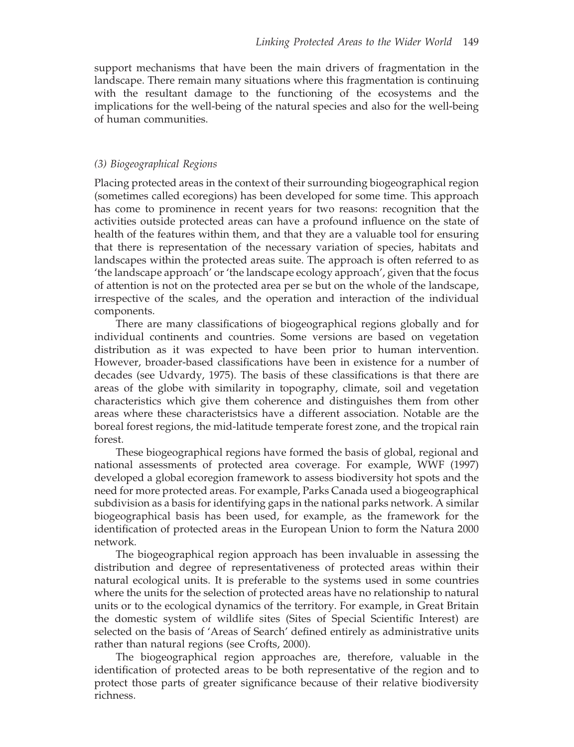support mechanisms that have been the main drivers of fragmentation in the landscape. There remain many situations where this fragmentation is continuing with the resultant damage to the functioning of the ecosystems and the implications for the well-being of the natural species and also for the well-being of human communities.

### (3) Biogeographical Regions

Placing protected areas in the context of their surrounding biogeographical region (sometimes called ecoregions) has been developed for some time. This approach has come to prominence in recent years for two reasons: recognition that the activities outside protected areas can have a profound influence on the state of health of the features within them, and that they are a valuable tool for ensuring that there is representation of the necessary variation of species, habitats and landscapes within the protected areas suite. The approach is often referred to as `the landscape approach' or `the landscape ecology approach', given that the focus of attention is not on the protected area per se but on the whole of the landscape, irrespective of the scales, and the operation and interaction of the individual components.

There are many classifications of biogeographical regions globally and for individual continents and countries. Some versions are based on vegetation distribution as it was expected to have been prior to human intervention. However, broader-based classifications have been in existence for a number of decades (see Udvardy, 1975). The basis of these classifications is that there are areas of the globe with similarity in topography, climate, soil and vegetation characteristics which give them coherence and distinguishes them from other areas where these characteristsics have a different association. Notable are the boreal forest regions, the mid-latitude temperate forest zone, and the tropical rain forest.

These biogeographical regions have formed the basis of global, regional and national assessments of protected area coverage. For example, WWF (1997) developed a global ecoregion framework to assess biodiversity hot spots and the need for more protected areas. For example, Parks Canada used a biogeographical subdivision as a basis for identifying gaps in the national parks network. A similar biogeographical basis has been used, for example, as the framework for the identification of protected areas in the European Union to form the Natura 2000 network.

The biogeographical region approach has been invaluable in assessing the distribution and degree of representativeness of protected areas within their natural ecological units. It is preferable to the systems used in some countries where the units for the selection of protected areas have no relationship to natural units or to the ecological dynamics of the territory. For example, in Great Britain the domestic system of wildlife sites (Sites of Special Scientific Interest) are selected on the basis of 'Areas of Search' defined entirely as administrative units rather than natural regions (see Crofts, 2000).

The biogeographical region approaches are, therefore, valuable in the identification of protected areas to be both representative of the region and to protect those parts of greater significance because of their relative biodiversity richness.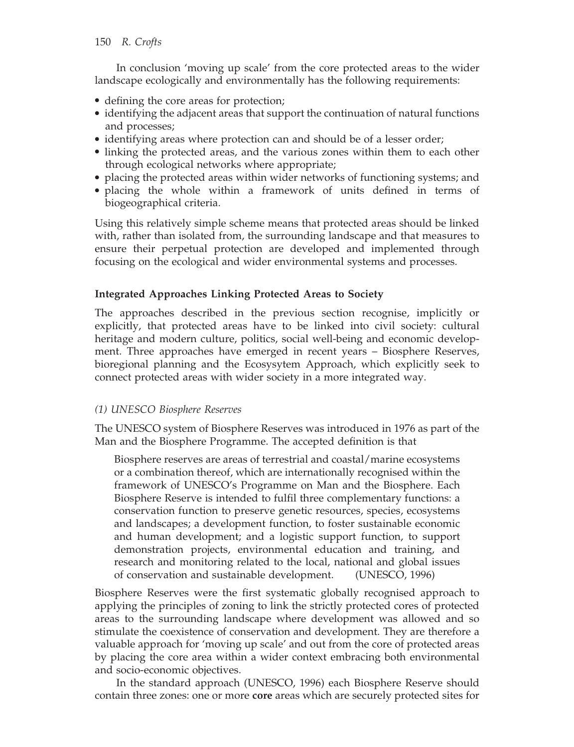In conclusion 'moving up scale' from the core protected areas to the wider landscape ecologically and environmentally has the following requirements:

- defining the core areas for protection;
- identifying the adjacent areas that support the continuation of natural functions and processes;
- identifying areas where protection can and should be of a lesser order;
- linking the protected areas, and the various zones within them to each other through ecological networks where appropriate;
- placing the protected areas within wider networks of functioning systems; and
- placing the whole within a framework of units defined in terms of biogeographical criteria.

Using this relatively simple scheme means that protected areas should be linked with, rather than isolated from, the surrounding landscape and that measures to ensure their perpetual protection are developed and implemented through focusing on the ecological and wider environmental systems and processes.

# Integrated Approaches Linking Protected Areas to Society

The approaches described in the previous section recognise, implicitly or explicitly, that protected areas have to be linked into civil society: cultural heritage and modern culture, politics, social well-being and economic development. Three approaches have emerged in recent years – Biosphere Reserves, bioregional planning and the Ecosysytem Approach, which explicitly seek to connect protected areas with wider society in a more integrated way.

# (1) UNESCO Biosphere Reserves

The UNESCO system of Biosphere Reserves was introduced in 1976 as part of the Man and the Biosphere Programme. The accepted definition is that

Biosphere reserves are areas of terrestrial and coastal/marine ecosystems or a combination thereof, which are internationally recognised within the framework of UNESCO's Programme on Man and the Biosphere. Each Biosphere Reserve is intended to fulfil three complementary functions: a conservation function to preserve genetic resources, species, ecosystems and landscapes; a development function, to foster sustainable economic and human development; and a logistic support function, to support demonstration projects, environmental education and training, and research and monitoring related to the local, national and global issues of conservation and sustainable development. (UNESCO, 1996)

Biosphere Reserves were the first systematic globally recognised approach to applying the principles of zoning to link the strictly protected cores of protected areas to the surrounding landscape where development was allowed and so stimulate the coexistence of conservation and development. They are therefore a valuable approach for 'moving up scale' and out from the core of protected areas by placing the core area within a wider context embracing both environmental and socio-economic objectives.

In the standard approach (UNESCO, 1996) each Biosphere Reserve should contain three zones: one or more core areas which are securely protected sites for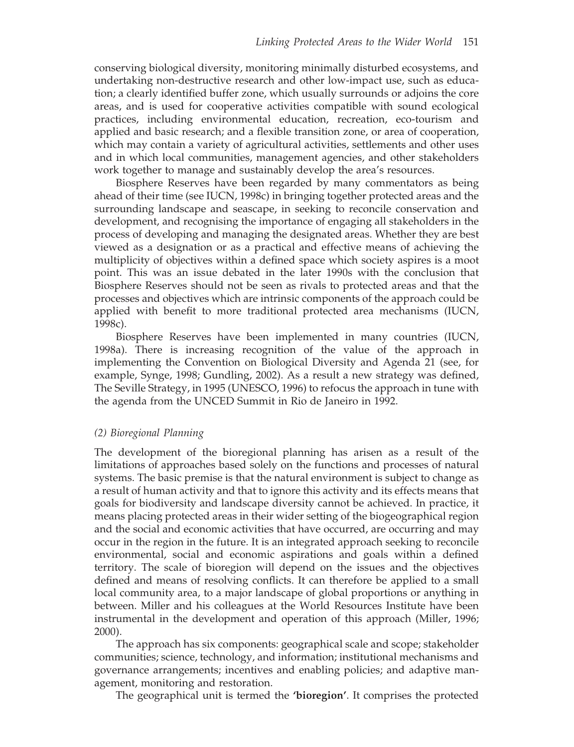conserving biological diversity, monitoring minimally disturbed ecosystems, and undertaking non-destructive research and other low-impact use, such as education; a clearly identified buffer zone, which usually surrounds or adjoins the core areas, and is used for cooperative activities compatible with sound ecological practices, including environmental education, recreation, eco-tourism and applied and basic research; and a flexible transition zone, or area of cooperation, which may contain a variety of agricultural activities, settlements and other uses and in which local communities, management agencies, and other stakeholders work together to manage and sustainably develop the area's resources.

Biosphere Reserves have been regarded by many commentators as being ahead of their time (see IUCN, 1998c) in bringing together protected areas and the surrounding landscape and seascape, in seeking to reconcile conservation and development, and recognising the importance of engaging all stakeholders in the process of developing and managing the designated areas. Whether they are best viewed as a designation or as a practical and effective means of achieving the multiplicity of objectives within a defined space which society aspires is a moot point. This was an issue debated in the later 1990s with the conclusion that Biosphere Reserves should not be seen as rivals to protected areas and that the processes and objectives which are intrinsic components of the approach could be applied with benefit to more traditional protected area mechanisms (IUCN, 1998c).

Biosphere Reserves have been implemented in many countries (IUCN, 1998a). There is increasing recognition of the value of the approach in implementing the Convention on Biological Diversity and Agenda 21 (see, for example, Synge, 1998; Gundling, 2002). As a result a new strategy was defined, The Seville Strategy, in 1995 (UNESCO, 1996) to refocus the approach in tune with the agenda from the UNCED Summit in Rio de Janeiro in 1992.

#### (2) Bioregional Planning

The development of the bioregional planning has arisen as a result of the limitations of approaches based solely on the functions and processes of natural systems. The basic premise is that the natural environment is subject to change as a result of human activity and that to ignore this activity and its effects means that goals for biodiversity and landscape diversity cannot be achieved. In practice, it means placing protected areas in their wider setting of the biogeographical region and the social and economic activities that have occurred, are occurring and may occur in the region in the future. It is an integrated approach seeking to reconcile environmental, social and economic aspirations and goals within a defined territory. The scale of bioregion will depend on the issues and the objectives defined and means of resolving conflicts. It can therefore be applied to a small local community area, to a major landscape of global proportions or anything in between. Miller and his colleagues at the World Resources Institute have been instrumental in the development and operation of this approach (Miller, 1996; 2000).

The approach has six components: geographical scale and scope; stakeholder communities; science, technology, and information; institutional mechanisms and governance arrangements; incentives and enabling policies; and adaptive management, monitoring and restoration.

The geographical unit is termed the **'bioregion'**. It comprises the protected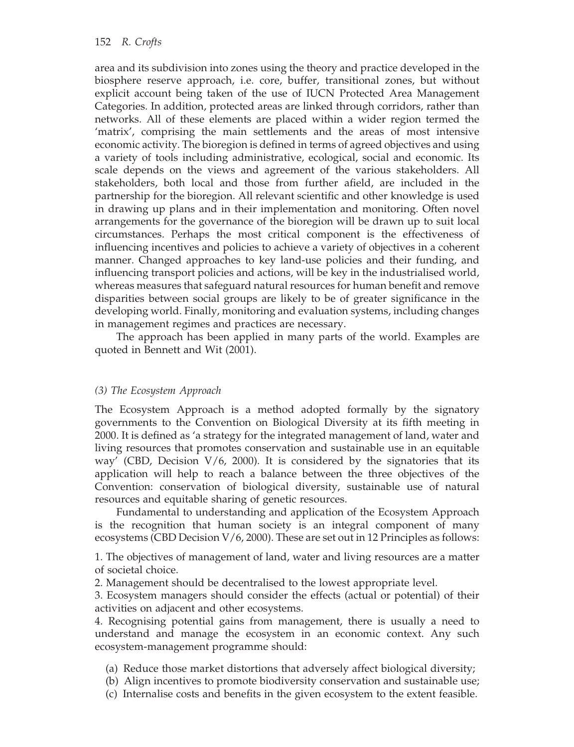area and its subdivision into zones using the theory and practice developed in the biosphere reserve approach, i.e. core, buffer, transitional zones, but without explicit account being taken of the use of IUCN Protected Area Management Categories. In addition, protected areas are linked through corridors, rather than networks. All of these elements are placed within a wider region termed the `matrix', comprising the main settlements and the areas of most intensive economic activity. The bioregion is defined in terms of agreed objectives and using a variety of tools including administrative, ecological, social and economic. Its scale depends on the views and agreement of the various stakeholders. All stakeholders, both local and those from further afield, are included in the partnership for the bioregion. All relevant scientific and other knowledge is used in drawing up plans and in their implementation and monitoring. Often novel arrangements for the governance of the bioregion will be drawn up to suit local circumstances. Perhaps the most critical component is the effectiveness of influencing incentives and policies to achieve a variety of objectives in a coherent manner. Changed approaches to key land-use policies and their funding, and influencing transport policies and actions, will be key in the industrialised world, whereas measures that safeguard natural resources for human benefit and remove disparities between social groups are likely to be of greater significance in the developing world. Finally, monitoring and evaluation systems, including changes in management regimes and practices are necessary.

The approach has been applied in many parts of the world. Examples are quoted in Bennett and Wit (2001).

### (3) The Ecosystem Approach

The Ecosystem Approach is a method adopted formally by the signatory governments to the Convention on Biological Diversity at its fifth meeting in 2000. It is defined as 'a strategy for the integrated management of land, water and living resources that promotes conservation and sustainable use in an equitable way' (CBD, Decision  $V/6$ , 2000). It is considered by the signatories that its application will help to reach a balance between the three objectives of the Convention: conservation of biological diversity, sustainable use of natural resources and equitable sharing of genetic resources.

Fundamental to understanding and application of the Ecosystem Approach is the recognition that human society is an integral component of many ecosystems (CBD Decision V/6, 2000). These are set out in 12 Principles as follows:

1. The objectives of management of land, water and living resources are a matter of societal choice.

2. Management should be decentralised to the lowest appropriate level.

3. Ecosystem managers should consider the effects (actual or potential) of their activities on adjacent and other ecosystems.

4. Recognising potential gains from management, there is usually a need to understand and manage the ecosystem in an economic context. Any such ecosystem-management programme should:

- (a) Reduce those market distortions that adversely affect biological diversity;
- (b) Align incentives to promote biodiversity conservation and sustainable use;
- (c) Internalise costs and benefits in the given ecosystem to the extent feasible.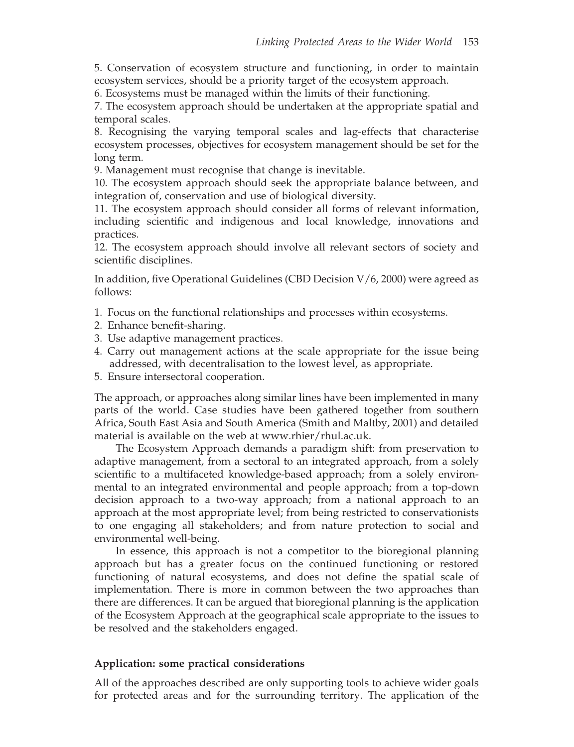5. Conservation of ecosystem structure and functioning, in order to maintain ecosystem services, should be a priority target of the ecosystem approach.

6. Ecosystems must be managed within the limits of their functioning.

7. The ecosystem approach should be undertaken at the appropriate spatial and temporal scales.

8. Recognising the varying temporal scales and lag-effects that characterise ecosystem processes, objectives for ecosystem management should be set for the long term.

9. Management must recognise that change is inevitable.

10. The ecosystem approach should seek the appropriate balance between, and integration of, conservation and use of biological diversity.

11. The ecosystem approach should consider all forms of relevant information, including scientific and indigenous and local knowledge, innovations and practices.

12. The ecosystem approach should involve all relevant sectors of society and scientific disciplines.

In addition, five Operational Guidelines (CBD Decision  $V/6$ , 2000) were agreed as follows:

- 1. Focus on the functional relationships and processes within ecosystems.
- 2. Enhance benefit-sharing.
- 3. Use adaptive management practices.
- 4. Carry out management actions at the scale appropriate for the issue being addressed, with decentralisation to the lowest level, as appropriate.
- 5. Ensure intersectoral cooperation.

The approach, or approaches along similar lines have been implemented in many parts of the world. Case studies have been gathered together from southern Africa, South East Asia and South America (Smith and Maltby, 2001) and detailed material is available on the web at www.rhier/rhul.ac.uk.

The Ecosystem Approach demands a paradigm shift: from preservation to adaptive management, from a sectoral to an integrated approach, from a solely scientific to a multifaceted knowledge-based approach; from a solely environmental to an integrated environmental and people approach; from a top-down decision approach to a two-way approach; from a national approach to an approach at the most appropriate level; from being restricted to conservationists to one engaging all stakeholders; and from nature protection to social and environmental well-being.

In essence, this approach is not a competitor to the bioregional planning approach but has a greater focus on the continued functioning or restored functioning of natural ecosystems, and does not define the spatial scale of implementation. There is more in common between the two approaches than there are differences. It can be argued that bioregional planning is the application of the Ecosystem Approach at the geographical scale appropriate to the issues to be resolved and the stakeholders engaged.

#### Application: some practical considerations

All of the approaches described are only supporting tools to achieve wider goals for protected areas and for the surrounding territory. The application of the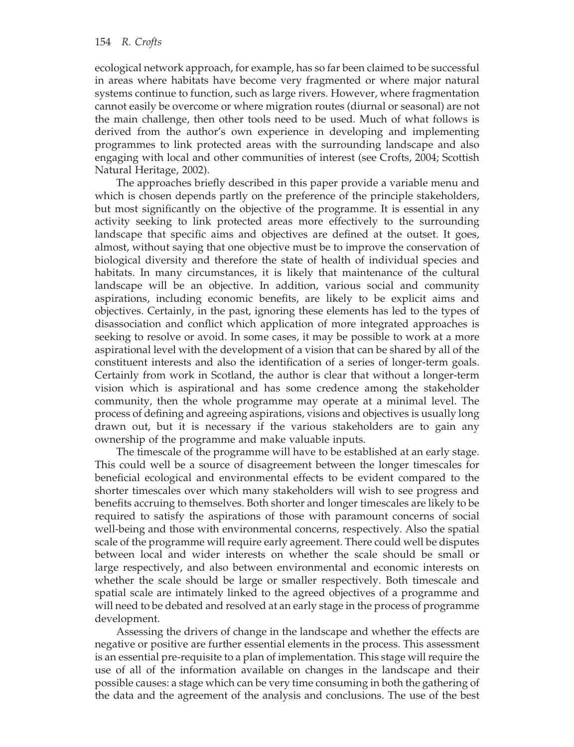ecological network approach, for example, has so far been claimed to be successful in areas where habitats have become very fragmented or where major natural systems continue to function, such as large rivers. However, where fragmentation cannot easily be overcome or where migration routes (diurnal or seasonal) are not the main challenge, then other tools need to be used. Much of what follows is derived from the author's own experience in developing and implementing programmes to link protected areas with the surrounding landscape and also engaging with local and other communities of interest (see Crofts, 2004; Scottish Natural Heritage, 2002).

The approaches briefly described in this paper provide a variable menu and which is chosen depends partly on the preference of the principle stakeholders, but most significantly on the objective of the programme. It is essential in any activity seeking to link protected areas more effectively to the surrounding landscape that specific aims and objectives are defined at the outset. It goes, almost, without saying that one objective must be to improve the conservation of biological diversity and therefore the state of health of individual species and habitats. In many circumstances, it is likely that maintenance of the cultural landscape will be an objective. In addition, various social and community aspirations, including economic benefits, are likely to be explicit aims and objectives. Certainly, in the past, ignoring these elements has led to the types of disassociation and conflict which application of more integrated approaches is seeking to resolve or avoid. In some cases, it may be possible to work at a more aspirational level with the development of a vision that can be shared by all of the constituent interests and also the identification of a series of longer-term goals. Certainly from work in Scotland, the author is clear that without a longer-term vision which is aspirational and has some credence among the stakeholder community, then the whole programme may operate at a minimal level. The process of defining and agreeing aspirations, visions and objectives is usually long drawn out, but it is necessary if the various stakeholders are to gain any ownership of the programme and make valuable inputs.

The timescale of the programme will have to be established at an early stage. This could well be a source of disagreement between the longer timescales for beneficial ecological and environmental effects to be evident compared to the shorter timescales over which many stakeholders will wish to see progress and benefits accruing to themselves. Both shorter and longer timescales are likely to be required to satisfy the aspirations of those with paramount concerns of social well-being and those with environmental concerns, respectively. Also the spatial scale of the programme will require early agreement. There could well be disputes between local and wider interests on whether the scale should be small or large respectively, and also between environmental and economic interests on whether the scale should be large or smaller respectively. Both timescale and spatial scale are intimately linked to the agreed objectives of a programme and will need to be debated and resolved at an early stage in the process of programme development.

Assessing the drivers of change in the landscape and whether the effects are negative or positive are further essential elements in the process. This assessment is an essential pre-requisite to a plan of implementation. This stage will require the use of all of the information available on changes in the landscape and their possible causes: a stage which can be very time consuming in both the gathering of the data and the agreement of the analysis and conclusions. The use of the best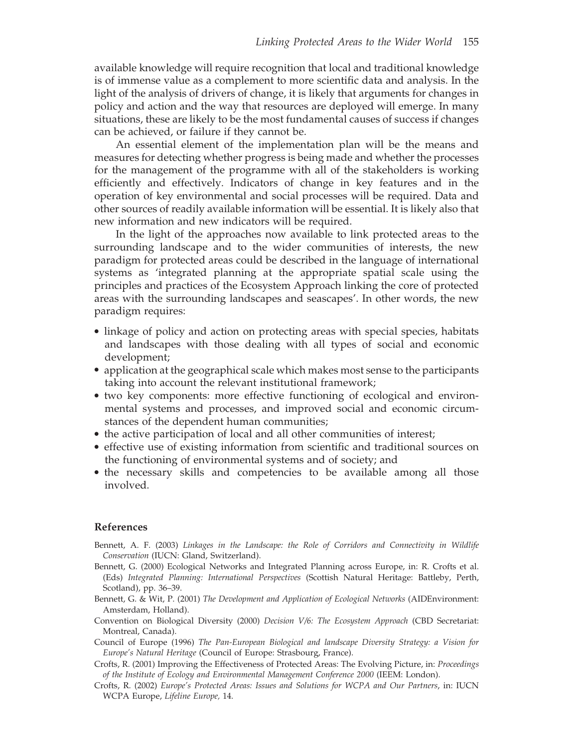available knowledge will require recognition that local and traditional knowledge is of immense value as a complement to more scientific data and analysis. In the light of the analysis of drivers of change, it is likely that arguments for changes in policy and action and the way that resources are deployed will emerge. In many situations, these are likely to be the most fundamental causes of success if changes can be achieved, or failure if they cannot be.

An essential element of the implementation plan will be the means and measures for detecting whether progress is being made and whether the processes for the management of the programme with all of the stakeholders is working efficiently and effectively. Indicators of change in key features and in the operation of key environmental and social processes will be required. Data and other sources of readily available information will be essential. It is likely also that new information and new indicators will be required.

In the light of the approaches now available to link protected areas to the surrounding landscape and to the wider communities of interests, the new paradigm for protected areas could be described in the language of international systems as 'integrated planning at the appropriate spatial scale using the principles and practices of the Ecosystem Approach linking the core of protected areas with the surrounding landscapes and seascapes'. In other words, the new paradigm requires:

- linkage of policy and action on protecting areas with special species, habitats and landscapes with those dealing with all types of social and economic development;
- application at the geographical scale which makes most sense to the participants taking into account the relevant institutional framework;
- two key components: more effective functioning of ecological and environmental systems and processes, and improved social and economic circumstances of the dependent human communities;
- the active participation of local and all other communities of interest;
- effective use of existing information from scientific and traditional sources on the functioning of environmental systems and of society; and
- the necessary skills and competencies to be available among all those involved.

#### References

- Bennett, A. F. (2003) Linkages in the Landscape: the Role of Corridors and Connectivity in Wildlife Conservation (IUCN: Gland, Switzerland).
- Bennett, G. (2000) Ecological Networks and Integrated Planning across Europe, in: R. Crofts et al. (Eds) Integrated Planning: International Perspectives (Scottish Natural Heritage: Battleby, Perth, Scotland), pp. 36-39.
- Bennett, G. & Wit, P. (2001) The Development and Application of Ecological Networks (AIDEnvironment: Amsterdam, Holland).
- Convention on Biological Diversity (2000) Decision V/6: The Ecosystem Approach (CBD Secretariat: Montreal, Canada).
- Council of Europe (1996) The Pan-European Biological and landscape Diversity Strategy: a Vision for Europe's Natural Heritage (Council of Europe: Strasbourg, France).
- Crofts, R. (2001) Improving the Effectiveness of Protected Areas: The Evolving Picture, in: Proceedings of the Institute of Ecology and Environmental Management Conference 2000 (IEEM: London).
- Crofts, R. (2002) Europe's Protected Areas: Issues and Solutions for WCPA and Our Partners, in: IUCN WCPA Europe, Lifeline Europe, 14.